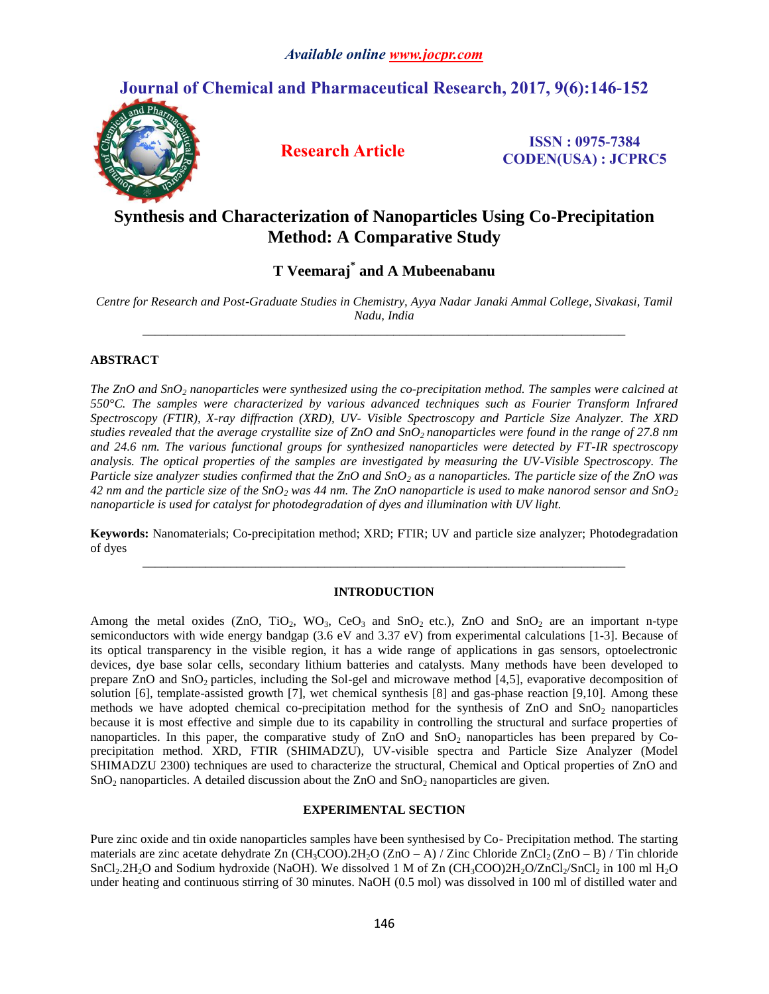# **Journal of Chemical and Pharmaceutical Research, 2017, 9(6):146-152**



**Research Article ISSN : 0975-7384 CODEN(USA) : JCPRC5**

# **Synthesis and Characterization of Nanoparticles Using Co-Precipitation Method: A Comparative Study**

## **T Veemaraj\* and A Mubeenabanu**

*Centre for Research and Post-Graduate Studies in Chemistry, Ayya Nadar Janaki Ammal College, Sivakasi, Tamil Nadu, India \_\_\_\_\_\_\_\_\_\_\_\_\_\_\_\_\_\_\_\_\_\_\_\_\_\_\_\_\_\_\_\_\_\_\_\_\_\_\_\_\_\_\_\_\_\_\_\_\_\_\_\_\_\_\_\_\_\_\_\_\_\_\_\_\_\_\_\_\_\_\_\_\_\_\_\_\_*

## **ABSTRACT**

*The ZnO and SnO<sup>2</sup> nanoparticles were synthesized using the co-precipitation method. The samples were calcined at 550°C. The samples were characterized by various advanced techniques such as Fourier Transform Infrared Spectroscopy (FTIR), X-ray diffraction (XRD), UV- Visible Spectroscopy and Particle Size Analyzer. The XRD studies revealed that the average crystallite size of ZnO and SnO2 nanoparticles were found in the range of 27.8 nm and 24.6 nm. The various functional groups for synthesized nanoparticles were detected by FT-IR spectroscopy analysis. The optical properties of the samples are investigated by measuring the UV-Visible Spectroscopy. The Particle size analyzer studies confirmed that the ZnO and SnO<sup>2</sup> as a nanoparticles. The particle size of the ZnO was 42 nm and the particle size of the SnO<sup>2</sup> was 44 nm. The ZnO nanoparticle is used to make nanorod sensor and SnO<sup>2</sup> nanoparticle is used for catalyst for photodegradation of dyes and illumination with UV light.*

**Keywords:** Nanomaterials; Co-precipitation method; XRD; FTIR; UV and particle size analyzer; Photodegradation of dyes *\_\_\_\_\_\_\_\_\_\_\_\_\_\_\_\_\_\_\_\_\_\_\_\_\_\_\_\_\_\_\_\_\_\_\_\_\_\_\_\_\_\_\_\_\_\_\_\_\_\_\_\_\_\_\_\_\_\_\_\_\_\_\_\_\_\_\_\_\_\_\_\_\_\_\_\_\_*

#### **INTRODUCTION**

Among the metal oxides (ZnO, TiO<sub>2</sub>, WO<sub>3</sub>, CeO<sub>3</sub> and SnO<sub>2</sub> etc.), ZnO and SnO<sub>2</sub> are an important n-type semiconductors with wide energy bandgap (3.6 eV and 3.37 eV) from experimental calculations [1-3]. Because of its optical transparency in the visible region, it has a wide range of applications in gas sensors, optoelectronic devices, dye base solar cells, secondary lithium batteries and catalysts. Many methods have been developed to prepare ZnO and SnO<sup>2</sup> particles, including the Sol-gel and microwave method [4,5], evaporative decomposition of solution [6], template-assisted growth [7], wet chemical synthesis [8] and gas-phase reaction [9,10]. Among these methods we have adopted chemical co-precipitation method for the synthesis of  $ZnO$  and  $SnO<sub>2</sub>$  nanoparticles because it is most effective and simple due to its capability in controlling the structural and surface properties of nanoparticles. In this paper, the comparative study of  $ZnO$  and  $SnO<sub>2</sub>$  nanoparticles has been prepared by Coprecipitation method. XRD, FTIR (SHIMADZU), UV-visible spectra and Particle Size Analyzer (Model SHIMADZU 2300) techniques are used to characterize the structural, Chemical and Optical properties of ZnO and  $SnO<sub>2</sub>$  nanoparticles. A detailed discussion about the ZnO and  $SnO<sub>2</sub>$  nanoparticles are given.

### **EXPERIMENTAL SECTION**

Pure zinc oxide and tin oxide nanoparticles samples have been synthesised by Co- Precipitation method. The starting materials are zinc acetate dehydrate Zn  $(CH_3COO)$ .  $2H_2O$  (ZnO – A) / Zinc Chloride ZnCl<sub>2</sub> (ZnO – B) / Tin chloride  $SnCl<sub>2</sub>.2H<sub>2</sub>O$  and Sodium hydroxide (NaOH). We dissolved 1 M of Zn (CH<sub>3</sub>COO)2H<sub>2</sub>O/ZnCl<sub>2</sub>/SnCl<sub>2</sub> in 100 ml H<sub>2</sub>O under heating and continuous stirring of 30 minutes. NaOH (0.5 mol) was dissolved in 100 ml of distilled water and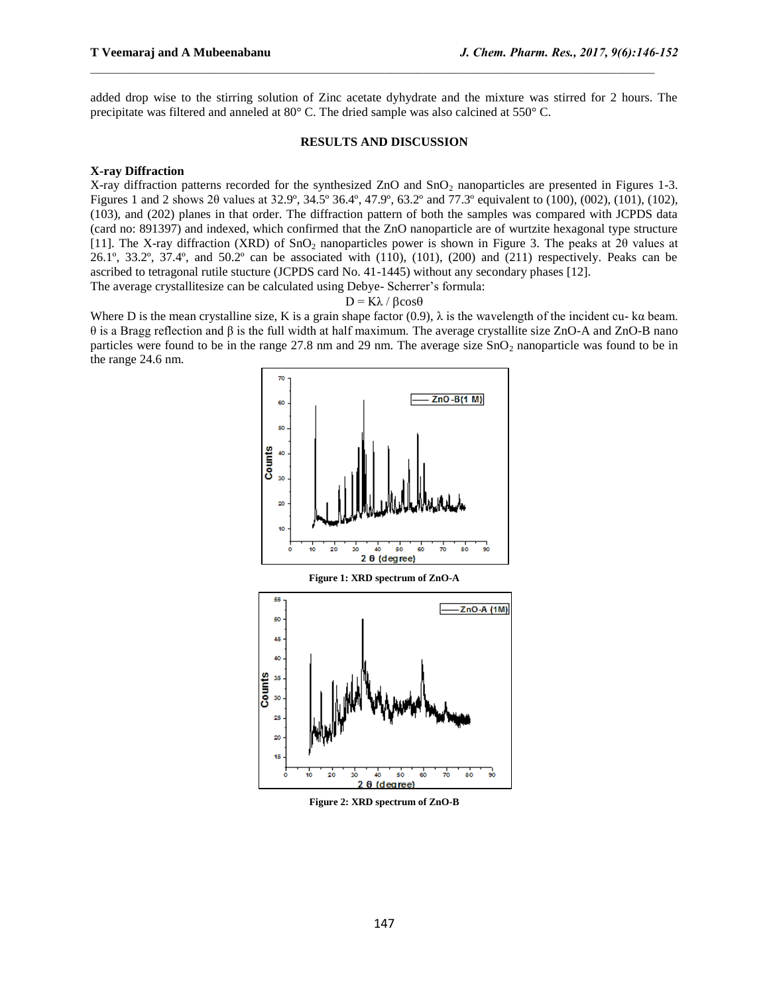added drop wise to the stirring solution of Zinc acetate dyhydrate and the mixture was stirred for 2 hours. The precipitate was filtered and anneled at 80° C. The dried sample was also calcined at 550° C.

 $\mathcal{L}_\text{max}$ 

#### **RESULTS AND DISCUSSION**

#### **X-ray Diffraction**

X-ray diffraction patterns recorded for the synthesized ZnO and  $SnO<sub>2</sub>$  nanoparticles are presented in Figures 1-3. Figures 1 and 2 shows 2θ values at 32.9º, 34.5º 36.4º, 47.9º, 63.2º and 77.3º equivalent to (100), (002), (101), (102), (103), and (202) planes in that order. The diffraction pattern of both the samples was compared with JCPDS data (card no: 891397) and indexed, which confirmed that the ZnO nanoparticle are of wurtzite hexagonal type structure [11]. The X-ray diffraction (XRD) of SnO<sub>2</sub> nanoparticles power is shown in Figure 3. The peaks at 20 values at 26.1º, 33.2º, 37.4º, and 50.2º can be associated with (110), (101), (200) and (211) respectively. Peaks can be ascribed to tetragonal rutile stucture (JCPDS card No. 41-1445) without any secondary phases [12]. The average crystallitesize can be calculated using Debye- Scherrer's formula:

#### $D = K\lambda / \beta cos\theta$

Where D is the mean crystalline size, K is a grain shape factor (0.9),  $\lambda$  is the wavelength of the incident cu- ka beam. θ is a Bragg reflection and β is the full width at half maximum. The average crystallite size ZnO-A and ZnO-B nano particles were found to be in the range  $27.8$  nm and  $29$  nm. The average size  $SnO<sub>2</sub>$  nanoparticle was found to be in the range 24.6 nm.



**Figure 2: XRD spectrum of ZnO-B**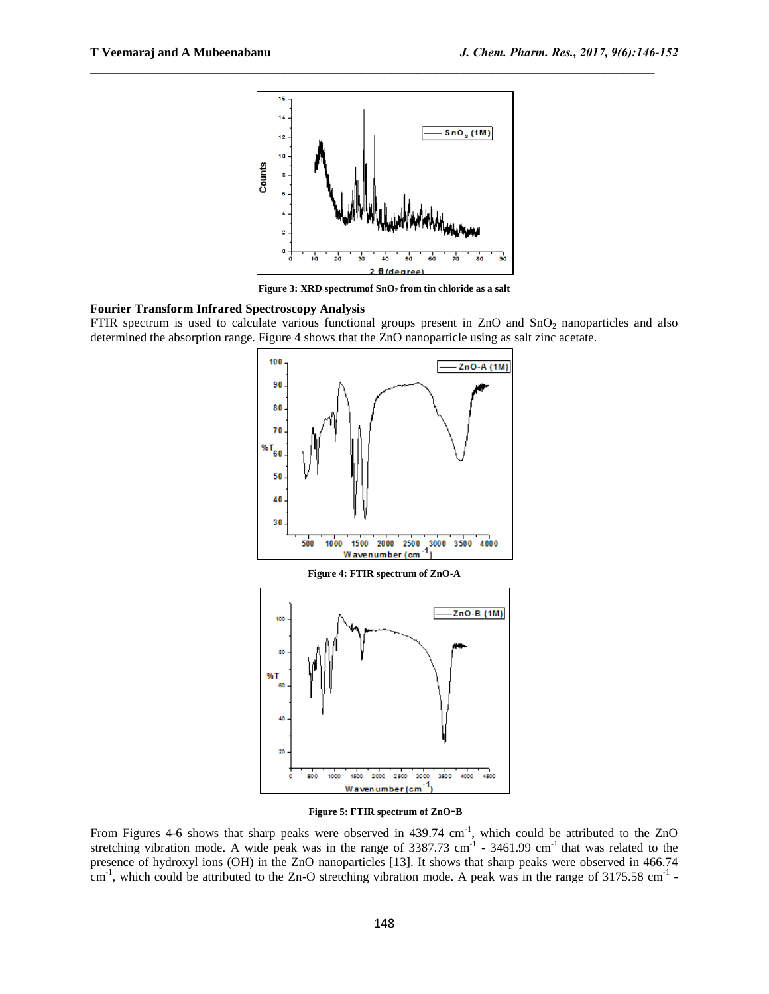

 $\mathcal{L}_\text{max}$ 

**Figure 3: XRD spectrumof SnO<sup>2</sup> from tin chloride as a salt**

#### **Fourier Transform Infrared Spectroscopy Analysis**

FTIR spectrum is used to calculate various functional groups present in  $ZnO$  and  $SnO<sub>2</sub>$  nanoparticles and also determined the absorption range. Figure 4 shows that the ZnO nanoparticle using as salt zinc acetate.



**Figure 5: FTIR spectrum of ZnO-<sup>B</sup>**

From Figures 4-6 shows that sharp peaks were observed in 439.74 cm<sup>-1</sup>, which could be attributed to the ZnO stretching vibration mode. A wide peak was in the range of  $3387.73$  cm<sup>-1</sup> -  $3461.99$  cm<sup>-1</sup> that was related to the presence of hydroxyl ions (OH) in the ZnO nanoparticles [13]. It shows that sharp peaks were observed in 466.74  $\text{cm}^{-1}$ , which could be attributed to the Zn-O stretching vibration mode. A peak was in the range of 3175.58 cm<sup>-1</sup> -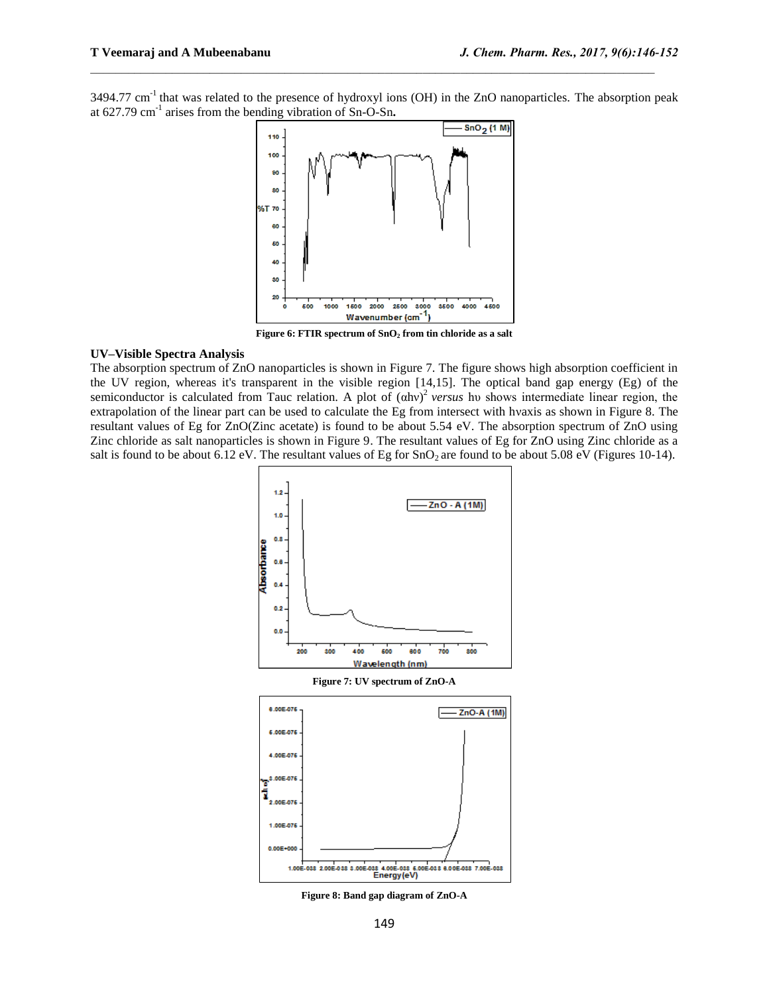3494.77 cm<sup>-1</sup> that was related to the presence of hydroxyl ions (OH) in the ZnO nanoparticles. The absorption peak at 627.79 cm-1 arises from the bending vibration of Sn-O-Sn**.**

 $\mathcal{L}_\text{max}$ 



**Figure 6: FTIR spectrum of SnO<sup>2</sup> from tin chloride as a salt**

#### **UV–Visible Spectra Analysis**

The absorption spectrum of ZnO nanoparticles is shown in Figure 7. The figure shows high absorption coefficient in the UV region, whereas it's transparent in the visible region [14,15]. The optical band gap energy (Eg) of the semiconductor is calculated from Tauc relation. A plot of (αhν) 2 *versus* hυ shows intermediate linear region, the extrapolation of the linear part can be used to calculate the Eg from intersect with hνaxis as shown in Figure 8. The resultant values of Eg for ZnO(Zinc acetate) is found to be about 5.54 eV. The absorption spectrum of ZnO using Zinc chloride as salt nanoparticles is shown in Figure 9. The resultant values of Eg for ZnO using Zinc chloride as a salt is found to be about 6.12 eV. The resultant values of Eg for  $SnO<sub>2</sub>$  are found to be about 5.08 eV (Figures 10-14).



**Figure 8: Band gap diagram of ZnO-A**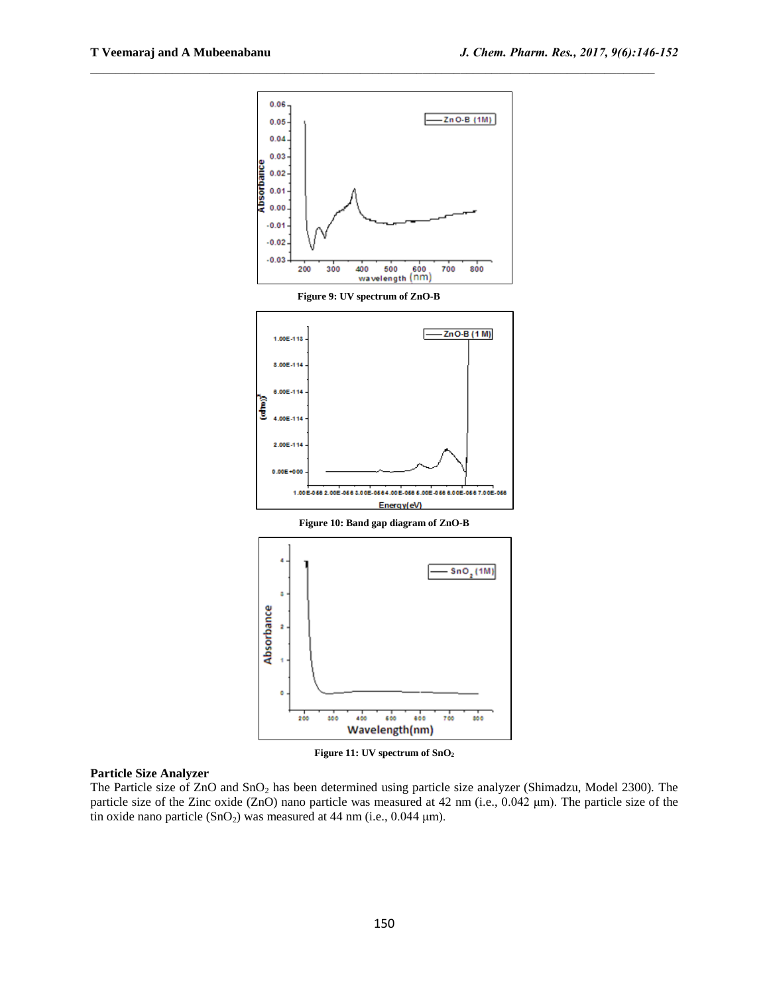

 $\mathcal{L}_\text{max}$ 

**Figure 11: UV spectrum of SnO<sup>2</sup>**

### **Particle Size Analyzer**

The Particle size of  $ZnO$  and  $SnO<sub>2</sub>$  has been determined using particle size analyzer (Shimadzu, Model 2300). The particle size of the Zinc oxide (ZnO) nano particle was measured at 42 nm (i.e., 0.042 μm). The particle size of the tin oxide nano particle  $(SnO<sub>2</sub>)$  was measured at 44 nm (i.e., 0.044 µm).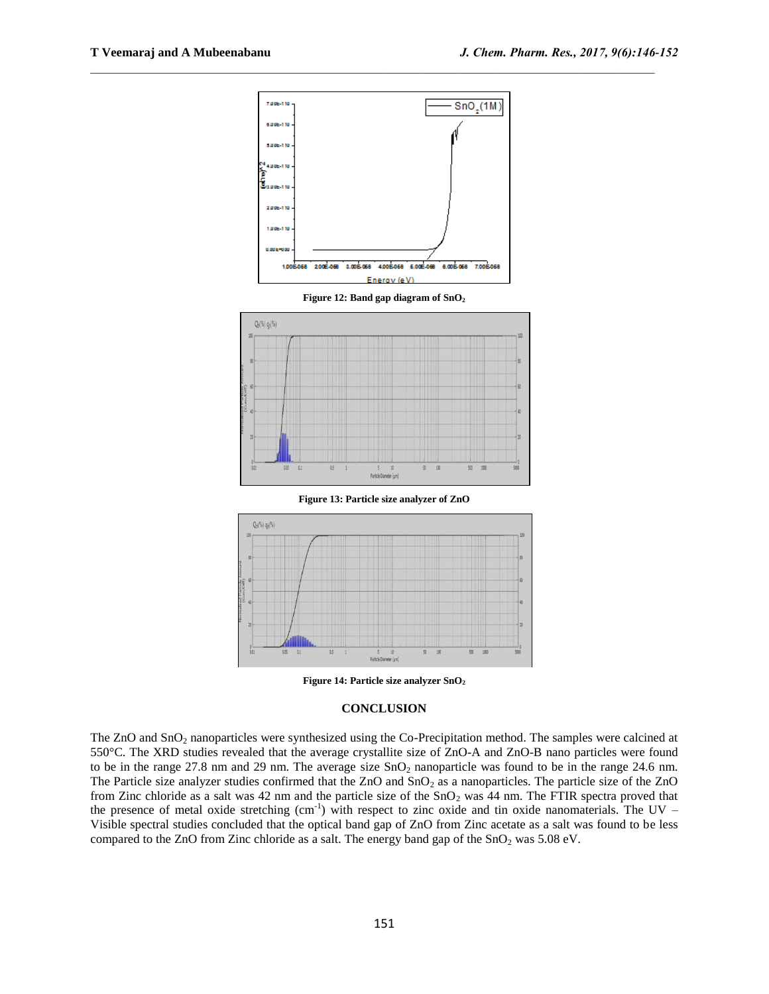

 $\mathcal{L}_\text{max}$ 

**Figure 13: Particle size analyzer of ZnO**



**Figure 14: Particle size analyzer SnO<sup>2</sup>**

#### **CONCLUSION**

The ZnO and SnO<sub>2</sub> nanoparticles were synthesized using the Co-Precipitation method. The samples were calcined at 550°C. The XRD studies revealed that the average crystallite size of ZnO-A and ZnO-B nano particles were found to be in the range 27.8 nm and 29 nm. The average size  $SnO<sub>2</sub>$  nanoparticle was found to be in the range 24.6 nm. The Particle size analyzer studies confirmed that the  $ZnO$  and  $SnO<sub>2</sub>$  as a nanoparticles. The particle size of the  $ZnO$ from Zinc chloride as a salt was 42 nm and the particle size of the  $SnO<sub>2</sub>$  was 44 nm. The FTIR spectra proved that the presence of metal oxide stretching  $(cm<sup>-1</sup>)$  with respect to zinc oxide and tin oxide nanomaterials. The UV – Visible spectral studies concluded that the optical band gap of ZnO from Zinc acetate as a salt was found to be less compared to the ZnO from Zinc chloride as a salt. The energy band gap of the  $SnO<sub>2</sub>$  was 5.08 eV.